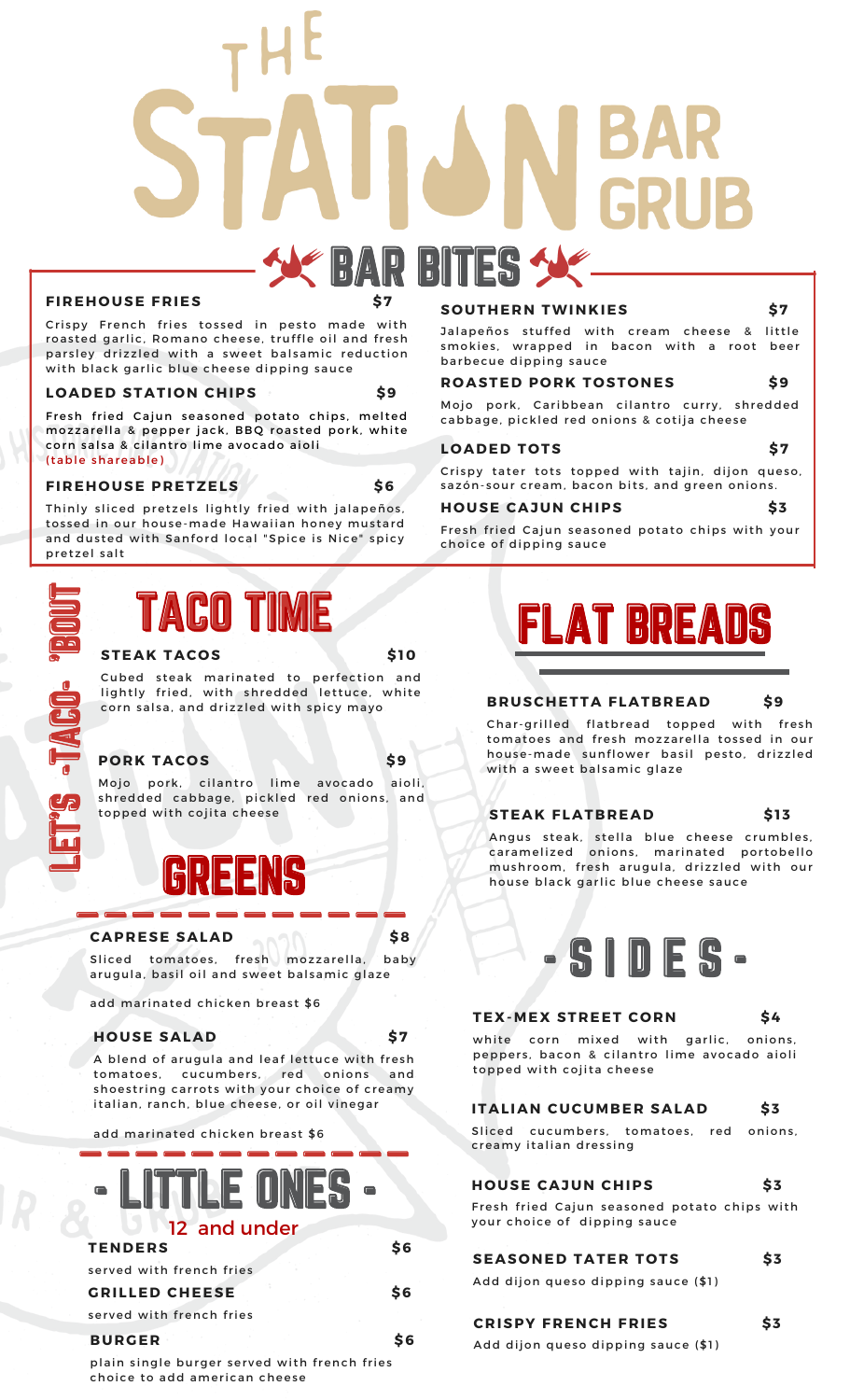## **D** BITES

#### **FIREHOUSE FRIES**

Crispy French fries tossed in pesto made with roasted garlic, Romano cheese, truffle oil and fresh parsley drizzled with a sweet balsamic reduction with black garlic blue cheese dipping sauce

#### **L O ADED STATI O N CHIPS \$9**

Fresh fried Cajun seasoned potato chips, melted mozzarella & pepper jack, BBQ roasted pork, white corn salsa & cilantro lime avocado aioli ( table shareable)

#### **FIREH O USE PRETZELS \$6**

Thinly sliced pretzels lightly fried with jalapeños, tossed in our house-made Hawaiian honey mustard and dusted with Sanford local "Spice is Nice" spicy pretzel salt



#### **STEAK TAC O S \$10**

corn salsa, and drizzled with spicy mayo aa<br>'B<br>'B Cubed steak marinated to perfection and lightly fried, with shredded lettuce, white

#### **P O RK TAC O S \$9**

 $\overline{\phantom{0}}$ La 1

-T

լ TAگا Oւ

 $\blacktriangleleft$ CS)  $\blacksquare$ 

-

 $\blacksquare$  $\equiv$ T

ud s<br>En l Mojo pork, cilantro lime avocado aioli, shredded cabbage, pickled red onions, and topped with cojita cheese



#### **CAPRESE SALAD \$8**

Sliced tomatoes, fresh mozzarella, baby arugula, basil oil and sweet balsamic glaze

add marinated chicken breast \$6

#### **H O USE SALAD \$7**

A blend of arugula and leaf lettuce with fresh tomatoes, cucumbers, red onions and shoestring carrots with your choice of creamy italian, ranch, blue cheese, or oil vinegar

add marinated chicken breast \$6



plain single burger served with french fries choice to add american cheese

#### **S O UTHERN TWINKIES \$7**

Jalapeños stuffed with cream cheese & little smokies, wrapped in bacon with a root beer barbecue dipping sauce

#### **ROASTED PORK TOSTONES** \$9

Mojo pork, Caribbean cilantro curry, shredded cabbage, pickled red onions & cot ija cheese

#### $\begin{array}{ccc} \text{LOADED} & \text{TOTS} & \text{S7} \end{array}$

Crispy tater tots topped with tajin, dijon queso, sazón-sour cream, bacon bits, and green onions.

#### **H O USE CAJUN CHIPS \$3**

Fresh fried Cajun seasoned potato chips with your choice of dipping sauce



#### **BRUSCHETTA FLATBREAD \$9**

Char-grilled flatbread topped with fresh tomatoes and fresh mozzarella tossed in our house-made sunflower basil pesto, drizzled with a sweet balsamic glaze

#### **STEAK FLATBREAD \$1 3**

Angus steak, stella blue cheese crumbles, caramelized onions, marinated portobello mushroom, fresh arugula, drizzled with our house black garlic blue cheese sauce



#### **TEX-MEX STREET C O RN \$4**

white corn mixed with garlic, onions, peppers, bacon & cilantro lime avocado aioli topped with cojita cheese

#### **ITALIAN CUCUMBER SALAD \$3**

Sliced cucumbers, tomatoes, red onions, creamy italian dressing

#### **H O USE CAJUN CHIPS \$3**

Fresh fried Cajun seasoned potato chips with your choice of dipping sauce

#### **SEAS O NED TATER T O TS \$3**

Add dijon queso dipping sauce (\$1)

#### **CRISPY FRENCH FRIES \$3**

Add dijon queso dipping sauce (\$1)